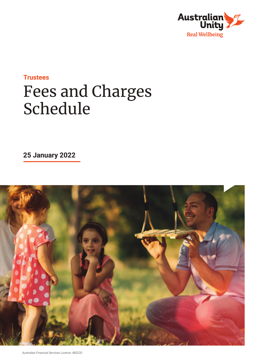

## **Trustees** Fees and Charges Schedule

**25 January 2022**

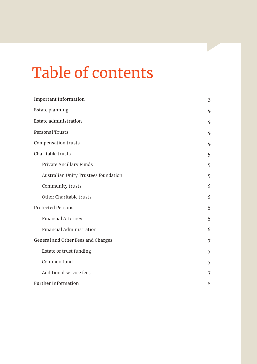# Table of contents

| <b>Important Information</b>         | $\overline{3}$ |
|--------------------------------------|----------------|
| <b>Estate planning</b>               |                |
| <b>Estate administration</b>         | 4              |
| <b>Personal Trusts</b>               | $\overline{4}$ |
| <b>Compensation trusts</b>           | 4              |
| Charitable trusts                    | 5              |
| Private Ancillary Funds              | 5              |
| Australian Unity Trustees foundation | 5              |
| Community trusts                     | 6              |
| Other Charitable trusts              | 6              |
| <b>Protected Persons</b>             | 6              |
| Financial Attorney                   | 6              |
| Financial Administration             | 6              |
| General and Other Fees and Charges   | 7              |
| Estate or trust funding              | 7              |
| Common fund                          | 7              |
| Additional service fees              | 7              |
| <b>Further Information</b>           | 8              |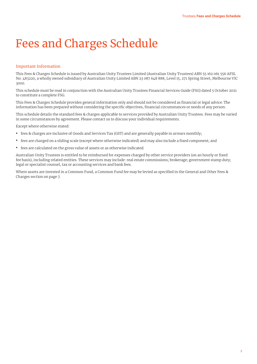### Fees and Charges Schedule

#### Important Information

This Fees & Charges Schedule is issued by Australian Unity Trustees Limited (Australian Unity Trustees) ABN 55 162 061 556 AFSL No: 483220, a wholly owned subsidiary of Australian Unity Limited ABN 23 087 648 888, Level 15, 271 Spring Street, Melbourne VIC 3000.

This schedule must be read in conjunction with the Australian Unity Trustees Financial Services Guide (FSG) dated 5 October 2021 to constitute a complete FSG.

This Fees & Charges Schedule provides general information only and should not be considered as financial or legal advice. The information has been prepared without considering the specific objectives, financial circumstances or needs of any person.

This schedule details the standard fees & charges applicable to services provided by Australian Unity Trustees. Fees may be varied in some circumstances by agreement. Please contact us to discuss your individual requirements.

Except where otherwise stated:

- **•** fees & charges are inclusive of Goods and Services Tax (GST) and are generally payable in arrears monthly;
- **•** fees are charged on a sliding scale (except where otherwise indicated) and may also include a fixed component; and
- **•** fees are calculated on the gross value of assets or as otherwise indicated.

Australian Unity Trustees is entitled to be reimbursed for expenses charged by other service providers (on an hourly or fixed fee basis), including related entities. These services may include: real estate commissions; brokerage; government stamp duty; legal or specialist counsel, tax or accounting services and bank fees.

Where assets are invested in a Common Fund, a Common Fund fee may be levied as specified in the General and Other Fees & Charges section on page 7.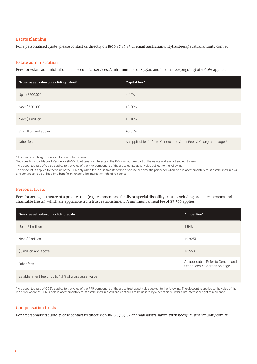#### Estate planning

For a personalised quote, please contact us directly on 1800 87 87 83 or email australianunitytrustees@australianunity.com.au.

#### Estate administration

Fees for estate administration and executorial services. A minimum fee of \$5,500 and income fee (ongoing) of 6.60% applies.

| Gross asset value on a sliding value* | Capital fee ^                                                      |
|---------------------------------------|--------------------------------------------------------------------|
| Up to \$500,000                       | 4.40%                                                              |
| Next \$500,000                        | $+3.30%$                                                           |
| Next \$1 million                      | $+1.10%$                                                           |
| \$2 million and above                 | $+0.55%$                                                           |
| Other fees                            | As applicable. Refer to General and Other Fees & Charges on page 7 |

\* Fees may be charged periodically or as a lump sum.

\*Includes Principal Place of Residence (PPR). Joint tenancy interests in the PPR do not form part of the estate and are not subject to fees.

^ A discounted rate of 0.55% applies to the value of the PPR component of the gross estate asset value subject to the following:

The discount is applied to the value of the PPR only when the PPR is transferred to a spouse or domestic partner or when held in a testamentary trust established in a will and continues to be utilised by a beneficiary under a life interest or right of residence.

#### Personal trusts

Fees for acting as trustee of a private trust (e.g. testamentary, family or special disability trusts, excluding protected persons and charitable trusts), which are applicable from trust establishment. A minimum annual fee of \$3,300 applies.

| Gross asset value on a sliding scale                                                                                                                                                                                                  | Annual Fee <sup>^</sup>                                               |
|---------------------------------------------------------------------------------------------------------------------------------------------------------------------------------------------------------------------------------------|-----------------------------------------------------------------------|
| Up to \$1 million                                                                                                                                                                                                                     | 1.54%                                                                 |
| Next \$2 million                                                                                                                                                                                                                      | $+0.825%$                                                             |
| \$3 million and above                                                                                                                                                                                                                 | $+0.55%$                                                              |
| Other fees                                                                                                                                                                                                                            | As applicable. Refer to General and<br>Other Fees & Charges on page 7 |
| $\blacksquare$ . The line of the contract of the contract of the contract of the contract of the contract of the contract of the contract of the contract of the contract of the contract of the contract of the contract of the cont |                                                                       |

Establishment fee of up to 1.1% of gross asset value

^ A discounted rate of 0.55% applies to the value of the PPR component of the gross trust asset value subject to the following: The discount is applied to the value of the PPR only when the PPR is held in a testamentary trust established in a Will and continues to be utilised by a beneficiary under a life interest or right of residence.

#### Compensation trusts

For a personalised quote, please contact us directly on 1800 87 87 83 or email australianunitytrustees@australianunity.com.au.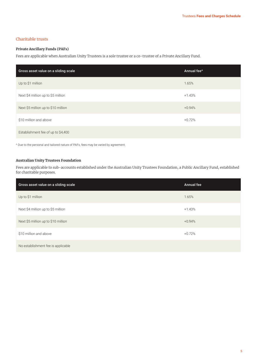#### Charitable trusts

#### **Private Ancillary Funds (PAFs)**

Fees are applicable when Australian Unity Trustees is a sole trustee or a co-trustee of a Private Ancillary Fund.

| Gross asset value on a sliding scale | Annual fee <sup>^</sup> |
|--------------------------------------|-------------------------|
| Up to \$1 million                    | 1.65%                   |
| Next \$4 million up to \$5 million   | $+1.43%$                |
| Next \$5 million up to \$10 million  | $+0.94%$                |
| \$10 million and above               | $+0.72%$                |
| Establishment fee of up to \$4,400   |                         |

^ Due to the personal and tailored nature of PAFs, fees may be varied by agreement.

#### **Australian Unity Trustees Foundation**

Fees are applicable to sub-accounts established under the Australian Unity Trustees Foundation, a Public Ancillary Fund, established for charitable purposes.

| Gross asset value on a sliding scale | Annual fee |
|--------------------------------------|------------|
| Up to \$1 million                    | 1.65%      |
| Next \$4 million up to \$5 million   | $+1.43%$   |
| Next \$5 million up to \$10 million  | $+0.94%$   |
| \$10 million and above               | $+0.72%$   |
| No establishment fee is applicable   |            |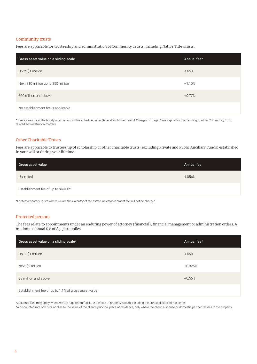#### Community trusts

Fees are applicable for trusteeship and administration of Community Trusts, including Native Title Trusts.

| Gross asset value on a sliding scale | Annual fee <sup>^</sup> |
|--------------------------------------|-------------------------|
| Up to \$1 million                    | 1.65%                   |
| Next \$10 million up to \$50 million | $+1.10%$                |
| \$50 million and above               | $+0.77%$                |
| No establishment fee is applicable   |                         |

^ Fee for service at the hourly rates set out in this schedule under General and Other Fees & Charges on page 7, may apply for the handling of other Community Trust related administration matters.

#### Other Charitable Trusts

Fees are applicable to trusteeship of scholarship or other charitable trusts (excluding Private and Public Ancillary Funds) established in your will or during your lifetime.

| Gross asset value                   | <b>Annual fee</b> |
|-------------------------------------|-------------------|
| Unlimited                           | 1.056%            |
| Establishment fee of up to \$4,400* |                   |

\*For testamentary trusts where we are the executor of the estate, an establishment fee will not be charged.

#### Protected persons

The fees relate to appointments under an enduring power of attorney (financial), financial management or administration orders. A minimum annual fee of \$3,300 applies.

| Gross asset value on a sliding scale*                | Annual fee <sup>^</sup> |
|------------------------------------------------------|-------------------------|
| Up to \$1 million                                    | 1.65%                   |
| Next \$2 million                                     | $+0.825%$               |
| \$3 million and above                                | $+0.55%$                |
| Establishment fee of up to 1.1% of gross asset value |                         |

Additional fees may apply where we are required to facilitate the sale of property assets, including the principal place of residence.

^A discounted rate of 0.55% applies to the value of the client's principal place of residence, only where the client, a spouse or domestic partner resides in the property.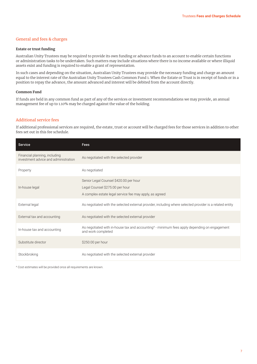#### General and fees & charges

#### **Estate or trust funding**

Australian Unity Trustees may be required to provide its own funding or advance funds to an account to enable certain functions or administration tasks to be undertaken. Such matters may include situations where there is no income available or where illiquid assets exist and funding is required to enable a grant of representation.

In such cases and depending on the situation, Australian Unity Trustees may provide the necessary funding and charge an amount equal to the interest rate of the Australian Unity Trustees Cash Common Fund 1. When the Estate or Trust is in receipt of funds or in a position to repay the advance, the amount advanced and interest will be debited from the account directly.

#### **Common Fund**

If funds are held in any common fund as part of any of the services or investment recommendations we may provide, an annual management fee of up to 1.10% may be charged against the value of the holding.

#### Additional service fees

If additional professional services are required, the estate, trust or account will be charged fees for those services in addition to other fees set out in this fee schedule.

| <b>Service</b>                                                        | <b>Fees</b>                                                                                                                          |
|-----------------------------------------------------------------------|--------------------------------------------------------------------------------------------------------------------------------------|
| Financial planning, including<br>investment advice and administration | As negotiated with the selected provider                                                                                             |
| Property                                                              | As negotiated                                                                                                                        |
| In-house legal                                                        | Senior Legal Counsel \$420.00 per hour<br>Legal Counsel \$275.00 per hour<br>A complex estate legal service fee may apply, as agreed |
| External legal                                                        | As negotiated with the selected external provider, including where selected provider is a related entity                             |
| External tax and accounting                                           | As negotiated with the selected external provider                                                                                    |
| In-house tax and accounting                                           | As negotiated with in-house tax and accounting <sup>^</sup> - minimum fees apply depending on engagement<br>and work completed       |
| Substitute director                                                   | \$250.00 per hour                                                                                                                    |
| Stockbroking                                                          | As negotiated with the selected external provider                                                                                    |

^ Cost estimates will be provided once all requirements are known.